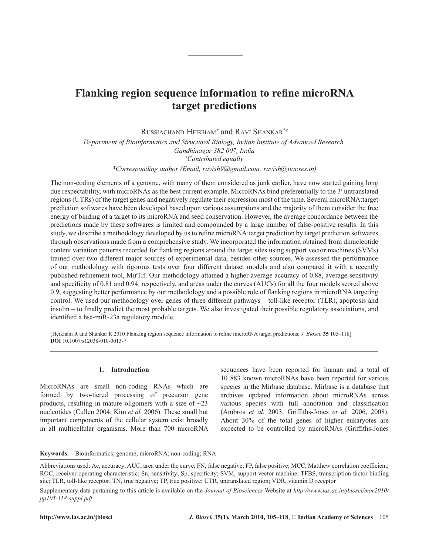# **target predictions**

RUSSIACHAND HEIKHAM*†* and RAVI SHANKAR*\*†*

*Department of Bioinformatics and Structural Biology, Indian Institute of Advanced Research, Gandhinagar 382 007, India † Contributed equally*

*\*Corresponding author (Email, ravish9@gmail.com; ravish@iiar.res.in)*

**hanking region sequence information to refine microBNA**<br> **https://www.ias.ac.in/jbiospinals.ac.in/jbiospinals.ac.in/jbiospinals/web/arth 2010, March 2010, March 2010, March 2010, March 2010, March 2010, March 2010, March** The non-coding elements of a genome, with many of them considered as junk earlier, have now started gaining long due respectability, with microRNAs as the best current example. MicroRNAs bind preferentially to the 3′ untranslated regions (UTRs) of the target genes and negatively regulate their expression most of the time. Several microRNA:target prediction softwares have been developed based upon various assumptions and the majority of them consider the free energy of binding of a target to its microRNA and seed conservation. However, the average concordance between the predictions made by these softwares is limited and compounded by a large number of false-positive results. In this study, we describe a methodology developed by us to refine microRNA: target prediction by target prediction softwares through observations made from a comprehensive study. We incorporated the information obtained from dinucleotide content variation patterns recorded for flanking regions around the target sites using support vector machines (SVMs) trained over two different major sources of experimental data, besides other sources. We assessed the performance of our methodology with rigorous tests over four different dataset models and also compared it with a recently published refinement tool, MirTif. Our methodology attained a higher average accuracy of 0.88, average sensitivity and specificity of 0.81 and 0.94, respectively, and areas under the curves (AUCs) for all the four models scored above 0.9, suggesting better performance by our methodology and a possible role of flanking regions in microRNA targeting control. We used our methodology over genes of three different pathways – toll-like receptor (TLR), apoptosis and insulin – to finally predict the most probable targets. We also investigated their possible regulatory associations, and identified a hsa-miR-23a regulatory module.

[Heikham R and Shankar R 2010 Flanking region sequence information to refine microRNA target predictions; *J. Biosci*. 35 105-118] **DOI** 10.1007/s12038-010-0013-7

# **1. Introduction**

MicroRNAs are small non-coding RNAs which are formed by two-tiered processing of precursor gene products, resulting in mature oligomers with a size of  $\sim$ 23 nucleotides (Cullen 2004; Kim *et al.* 2006). These small but important components of the cellular system exist broadly in all multicellular organisms. More than 700 microRNA sequences have been reported for human and a total of 10 883 known microRNAs have been reported for various species in the Mirbase database. Mirbase is a database that archives updated information about microRNAs across various species with full annotation and classification (Ambros *et al.* 2003; Griffiths-Jones *et al.* 2006, 2008). About 30% of the total genes of higher eukaryotes are expected to be controlled by microRNAs (Griffiths-Jones

## **Keywords.** Bioinformatics; genome; microRNA; non-coding; RNA

Abbreviations used: Ac, accuracy; AUC, area under the curve; FN, false negative; FP, false positive; MCC, Matthew correlation coefficient; ROC, receiver operating characteristic; Sn, sensitivity; Sp, specificity; SVM, support vector machine; TFBS, transcription factor-binding site; TLR, toll-like receptor; TN, true negative; TP, true positive; UTR, untranslated region; VDR, vitamin D receptor

Supplementary data pertaining to this article is available on the *Journal of Biosciences* Website at *http://www.ias.ac.in/jbiosci/mar2010/ pp105-118-suppl.pdf*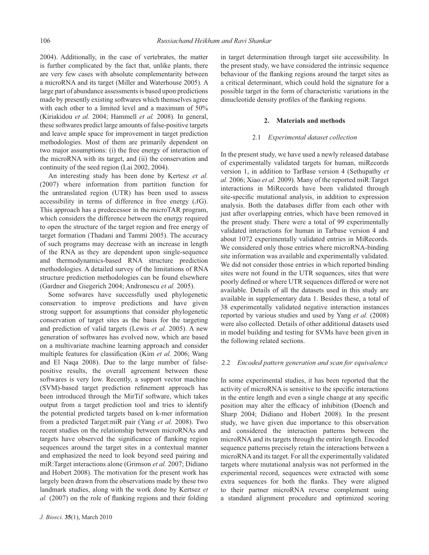2004). Additionally, in the case of vertebrates, the matter is further complicated by the fact that, unlike plants, there are very few cases with absolute complementarity between a microRNA and its target (Miller and Waterhouse 2005). A large part of abundance assessments is based upon predictions made by presently existing softwares which themselves agree with each other to a limited level and a maximum of 50% (Kiriakidou *et al.* 2004; Hammell *et al.* 2008). In general, these softwares predict large amounts of false-positive targets and leave ample space for improvement in target prediction methodologies. Most of them are primarily dependent on two major assumptions: (i) the free energy of interaction of the microRNA with its target, and (ii) the conservation and continuity of the seed region (Lai 2002, 2004).

An interesting study has been done by Kertesz *et al.* (2007) where information from partition function for the untranslated region (UTR) has been used to assess accessibility in terms of difference in free energy (*Δ*G). This approach has a predecessor in the microTAR program, which considers the difference between the energy required to open the structure of the target region and free energy of target formation (Thadani and Tammi 2005). The accuracy of such programs may decrease with an increase in length of the RNA as they are dependent upon single-sequence and thermodynamics-based RNA structure prediction methodologies. A detailed survey of the limitations of RNA structure prediction methodologies can be found elsewhere (Gardner and Giegerich 2004; Andronescu *et al.* 2005).

Some sofwares have successfully used phylogenetic conservation to improve predictions and have given strong support for assumptions that consider phylogenetic conservation of target sites as the basis for the targeting and prediction of valid targets (Lewis *et al.* 2005). A new generation of softwares has evolved now, which are based on a multivariate machine learning approach and consider multiple features for classification (Kim et al. 2006; Wang and El Naqa 2008). Due to the large number of falsepositive results, the overall agreement between these softwares is very low. Recently, a support vector machine (SVM)-based target prediction refinement approach has been introduced through the MirTif software, which takes output from a target prediction tool and tries to identify the potential predicted targets based on k-mer information from a predicted Target:miR pair (Yang *et al.* 2008). Two recent studies on the relationship between microRNAs and targets have observed the significance of flanking region sequences around the target sites in a contextual manner and emphasized the need to look beyond seed pairing and miR:Target interactions alone (Grimson *et al.* 2007; Didiano and Hobert 2008). The motivation for the present work has largely been drawn from the observations made by these two landmark studies, along with the work done by Kertsez *et al.* (2007) on the role of flanking regions and their folding in target determination through target site accessibility. In the present study, we have considered the intrinsic sequence behaviour of the flanking regions around the target sites as a critical determinant, which could hold the signature for a possible target in the form of characteristic variations in the dinucleotide density profiles of the flanking regions.

#### **2. Materials and methods**

#### 2.1 *Experimental dataset collection*

In the present study, we have used a newly released database of experimentally validated targets for human, miRecords version 1, in addition to TarBase version 4 (Sethupathy *et al.* 2006; Xiao *et al.* 2009). Many of the reported miR:Target interactions in MiRecords have been validated through site-specific mutational analysis, in addition to expression analysis. Both the databases differ from each other with just after overlapping entries, which have been removed in the present study. There were a total of 99 experimentally validated interactions for human in Tarbase version 4 and about 1072 experimentally validated entries in MiRecords. We considered only those entries where microRNA-binding site information was available and experimentally validated. We did not consider those entries in which reported binding sites were not found in the UTR sequences, sites that were poorly defined or where UTR sequences differed or were not available. Details of all the datasets used in this study are available in supplementary data 1. Besides these, a total of 38 experimentally validated negative interaction instances reported by various studies and used by Yang *et al.* (2008) were also collected. Details of other additional datasets used in model building and testing for SVMs have been given in the following related sections.

#### 2.2 *Encoded pattern generation and scan for equivalence*

In some experimental studies, it has been reported that the activity of microRNA is sensitive to the specific interactions in the entire length and even a single change at any specific position may alter the efficacy of inhibition (Doench and Sharp 2004; Didiano and Hobert 2008). In the present study, we have given due importance to this observation and considered the interaction patterns between the microRNA and its targets through the entire length. Encoded sequence patterns precisely retain the interactions between a microRNA and its target. For all the experimentally validated targets where mutational analysis was not performed in the experimental record, sequences were extracted with some extra sequences for both the flanks. They were aligned to their partner microRNA reverse complement using a standard alignment procedure and optimized scoring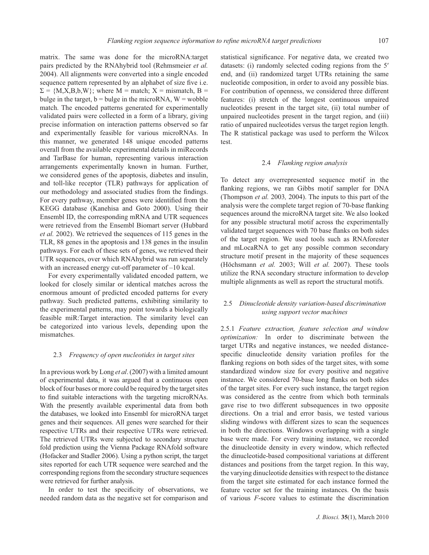matrix. The same was done for the microRNA:target pairs predicted by the RNAhybrid tool (Rehmsmeier *et al.* 2004). All alignments were converted into a single encoded sequence pattern represented by an alphabet of size five i.e.  $\Sigma = \{M, X, B, b, W\}$ ; where  $M =$  match;  $X =$  mismatch,  $B =$ bulge in the target,  $b = b$ ulge in the microRNA,  $W = w$ match. The encoded patterns generated for experimentally validated pairs were collected in a form of a library, giving precise information on interaction patterns observed so far and experimentally feasible for various microRNAs. In this manner, we generated 148 unique encoded patterns overall from the available experimental details in miRecords and TarBase for human, representing various interaction arrangements experimentally known in human. Further, we considered genes of the apoptosis, diabetes and insulin, and toll-like receptor (TLR) pathways for application of our methodology and associated studies from the findings. For every pathway, member genes were identified from the KEGG database (Kanehisa and Goto 2000). Using their Ensembl ID, the corresponding mRNA and UTR sequences were retrieved from the Ensembl Biomart server (Hubbard *et al.* 2002). We retrieved the sequences of 115 genes in the TLR, 88 genes in the apoptosis and 138 genes in the insulin pathways. For each of these sets of genes, we retrieved their UTR sequences, over which RNAhybrid was run separately with an increased energy cut-off parameter of –10 kcal.

For every experimentally validated encoded pattern, we looked for closely similar or identical matches across the enormous amount of predicted encoded patterns for every pathway. Such predicted patterns, exhibiting similarity to the experimental patterns, may point towards a biologically feasible miR:Target interaction. The similarity level can be categorized into various levels, depending upon the mismatches.

# 2.3 *Frequency of open nucleotides in target sites*

In a previous work by Long *et al*. (2007) with a limited amount of experimental data, it was argued that a continuous open block of four bases or more could be required by the target sites to find suitable interactions with the targeting microRNAs. With the presently available experimental data from both the databases, we looked into Ensembl for microRNA target genes and their sequences. All genes were searched for their respective UTRs and their respective UTRs were retrieved. The retrieved UTRs were subjected to secondary structure fold prediction using the Vienna Package RNAfold software (Hofacker and Stadler 2006). Using a python script, the target sites reported for each UTR sequence were searched and the corresponding regions from the secondary structure sequences were retrieved for further analysis.

In order to test the specificity of observations, we needed random data as the negative set for comparison and statistical significance. For negative data, we created two datasets: (i) randomly selected coding regions from the 5′ end, and (ii) randomized target UTRs retaining the same nucleotide composition, in order to avoid any possible bias. For contribution of openness, we considered three different features: (i) stretch of the longest continuous unpaired nucleotides present in the target site, (ii) total number of unpaired nucleotides present in the target region, and (iii) ratio of unpaired nucleotides versus the target region length. The R statistical package was used to perform the Wilcox test.

#### 2.4 *Flanking region analysis*

To detect any overrepresented sequence motif in the flanking regions, we ran Gibbs motif sampler for DNA (Thompson *et al.* 2003*,* 2004). The inputs to this part of the analysis were the complete target region of 70-base flanking sequences around the microRNA target site. We also looked for any possible structural motif across the experimentally validated target sequences with 70 base flanks on both sides of the target region. We used tools such as RNAforester and mLocaRNA to get any possible common secondary structure motif present in the majority of these sequences (Höchsmann *et al.* 2003; Will *et al.* 2007). These tools utilize the RNA secondary structure information to develop multiple alignments as well as report the structural motifs.

# 2.5 *Dinucleotide density variation-based discrimination using support vector machines*

2.5.1 *Feature extraction, feature selection and window optimization:* In order to discriminate between the target UTRs and negative instances, we needed distancespecific dinucleotide density variation profiles for the flanking regions on both sides of the target sites, with some standardized window size for every positive and negative instance. We considered 70-base long flanks on both sides of the target sites. For every such instance, the target region was considered as the centre from which both terminals gave rise to two different subsequences in two opposite directions. On a trial and error basis, we tested various sliding windows with different sizes to scan the sequences in both the directions. Windows overlapping with a single base were made. For every training instance, we recorded the dinucleotide density in every window, which reflected the dinucleotide-based compositional variations at different distances and positions from the target region. In this way, the varying dinucleotide densities with respect to the distance from the target site estimated for each instance formed the feature vector set for the training instances. On the basis of various *F*-score values to estimate the discrimination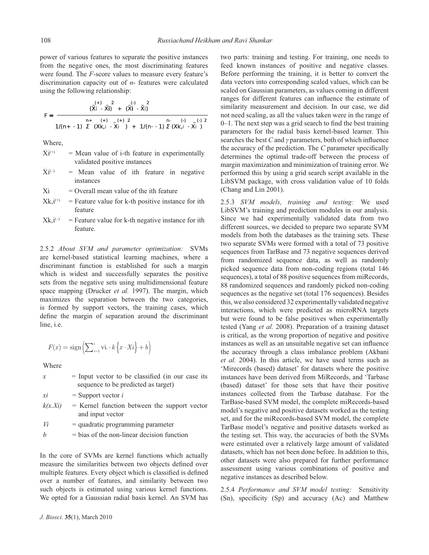power of various features to separate the positive instances from the negative ones, the most discriminating features were found. The *F*-score values to measure every feature's discrimination capacity out of *n*- features were calculated using the following relationship:

$$
F = \frac{\frac{(-1)^{n} \sum_{i=1}^{n} x_i}{(x_i - \bar{x}_i)^2 + (x_i - \bar{x}_i)^2}}{1/(n+1) \sum_{i=1}^{n} (x_i - x_i)^2 + 1/(n-1) \sum_{i=1}^{n} (x_i - x_i)^2}
$$

Where,

- $\bar{\mathrm{X}}$ i  $=$  Mean value of i-th feature in experimentally validated positive instances
- $\bar{\mathrm{X}}$ i  $=$  Mean value of ith feature in negative instances

 $Xi$  = Overall mean value of the ith feature

- $Xk,i^{(+)}$  = Feature value for k-th positive instance for ith feature
- $X_k$ ,  $i^{(-)}$  = Feature value for k-th negative instance for ith feature.

2.5.2 *About SVM and parameter optimization:* SVMs are kernel-based statistical learning machines, where a discriminant function is established for such a margin which is widest and successfully separates the positive sets from the negative sets using multidimensional feature space mapping (Drucker *et al.* 1997). The margin, which maximizes the separation between the two categories, is formed by support vectors, the training cases, which define the margin of separation around the discriminant line, i.e.

$$
F(x) = sign\left(\sum_{i=1}^{i} \operatorname{vi.} \cdot k\left\{x \cdot Xi\right\} + b\right)
$$

Where

| $\mathcal{X}$ | $=$ Input vector to be classified (in our case its<br>sequence to be predicted as target)  |
|---------------|--------------------------------------------------------------------------------------------|
| xi<br>k(x.Xi) | $=$ Support vector i<br>$=$ Kernel function between the support vector<br>and input vector |

- *Vi =* quadratic programming parameter
- $b = bias of the non-linear decision function$

In the core of SVMs are kernel functions which actually measure the similarities between two objects defined over multiple features. Every object which is classified is defined over a number of features, and similarity between two such objects is estimated using various kernel functions. We opted for a Gaussian radial basis kernel. An SVM has

ranges for different features can influence the estimate of similarity measurement and decision. In our case, we did not need scaling, as all the values taken were in the range of  $0-1$ . The next step was a grid search to find the best training parameters for the radial basis kernel-based learner. This searches the best  $C$  and  $\gamma$  parameters, both of which influence the accuracy of the prediction. The *C* parameter specifically determines the optimal trade-off between the process of margin maximization and minimization of training error. We performed this by using a grid search script available in the LibSVM package, with cross validation value of 10 folds (Chang and Lin 2001). 2.5.3 *SVM models, training and testing:* We used LibSVM's training and prediction modules in our analysis.

two parts: training and testing. For training, one needs to feed known instances of positive and negative classes. Before performing the training, it is better to convert the data vectors into corresponding scaled values, which can be scaled on Gaussian parameters, as values coming in different

Since we had experimentally validated data from two different sources, we decided to prepare two separate SVM models from both the databases as the training sets. These two separate SVMs were formed with a total of 73 positive sequences from TarBase and 73 negative sequences derived from randomized sequence data, as well as randomly picked sequence data from non-coding regions (total 146 sequences), a total of 88 positive sequences from miRecords, 88 randomized sequences and randomly picked non-coding sequences as the negative set (total 176 sequences). Besides this, we also considered 32 experimentally validated negative interactions, which were predicted as microRNA targets but were found to be false positives when experimentally tested (Yang *et al.* 2008). Preparation of a training dataset is critical, as the wrong proportion of negative and positive instances as well as an unsuitable negative set can influence the accuracy through a class imbalance problem (Akbani *et al.* 2004). In this article, we have used terms such as 'Mirecords (based) dataset' for datasets where the positive instances have been derived from MiRecords, and 'Tarbase (based) dataset' for those sets that have their positive instances collected from the Tarbase database. For the TarBase-based SVM model, the complete miRecords-based model's negative and positive datasets worked as the testing set, and for the miRecords-based SVM model, the complete TarBase model's negative and positive datasets worked as the testing set. This way, the accuracies of both the SVMs were estimated over a relatively large amount of validated datasets, which has not been done before. In addition to this, other datasets were also prepared for further performance assessment using various combinations of positive and negative instances as described below.

2.5.4 *Performance and SVM model testing:* Sensitivity (Sn), specificity (Sp) and accuracy (Ac) and Matthew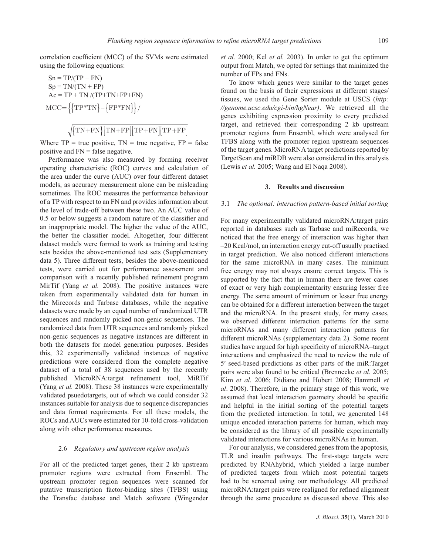correlation coefficient (MCC) of the SVMs were estimated using the following equations:

$$
Sn = TP/(TP + FN)
$$
  
\n
$$
Sp = TN/(TN + FP)
$$
  
\n
$$
Ac = TP + TN/(TP + TN + FP + FN)
$$
  
\n
$$
MCC = \{ \{ TP * TN \} - \{ FP * FN \} \} / \sqrt{\{ TN + FN \} [TN + FP] [TP + FN] [TP + FP]}
$$

Where  $TP = true$  positive,  $TN = true$  negative,  $FP = false$ positive and FN = false negative.

Performance was also measured by forming receiver operating characteristic (ROC) curves and calculation of the area under the curve (AUC) over four different dataset models, as accuracy measurement alone can be misleading sometimes. The ROC measures the performance behaviour of a TP with respect to an FN and provides information about the level of trade-off between these two. An AUC value of 0.5 or below suggests a random nature of the classifier and an inappropriate model. The higher the value of the AUC, the better the classifier model. Altogether, four different dataset models were formed to work as training and testing sets besides the above-mentioned test sets (Supplementary data 5). Three different tests, besides the above-mentioned tests, were carried out for performance assessment and comparison with a recently published refinement program MirTif (Yang *et al.* 2008). The positive instances were taken from experimentally validated data for human in the Mirecords and Tarbase databases, while the negative datasets were made by an equal number of randomized UTR sequences and randomly picked non-genic sequences. The randomized data from UTR sequences and randomly picked non-genic sequences as negative instances are different in both the datasets for model generation purposes. Besides this, 32 experimentally validated instances of negative predictions were considered from the complete negative dataset of a total of 38 sequences used by the recently published MicroRNA:target refinement tool, MiRTif (Yang *et al.* 2008). These 38 instances were experimentally validated psuedotargets, out of which we could consider 32 instances suitable for analysis due to sequence discrepancies and data format requirements. For all these models, the ROCs and AUCs were estimated for 10-fold cross-validation along with other performance measures.

# 2.6 *Regulatory and upstream region analysis*

For all of the predicted target genes, their 2 kb upstream promoter regions were extracted from Ensembl. The upstream promoter region sequences were scanned for putative transcription factor-binding sites (TFBS) using the Transfac database and Match software (Wingender *et al.* 2000; Kel *et al.* 2003). In order to get the optimum output from Match, we opted for settings that minimized the number of FPs and FNs.

To know which genes were similar to the target genes found on the basis of their expressions at different stages/ tissues, we used the Gene Sorter module at USCS (*http: //genome.ucsc.edu/cgi-bin/hgNear)*. We retrieved all the genes exhibiting expression proximity to every predicted target, and retrieved their corresponding 2 kb upstream promoter regions from Ensembl, which were analysed for TFBS along with the promoter region upstream sequences of the target genes. MicroRNA target predictions reported by TargetScan and miRDB were also considered in this analysis (Lewis *et al.* 2005; Wang and El Naqa 2008).

# **3. Results and discussion**

#### 3.1 *The optional: interaction pattern-based initial sorting*

For many experimentally validated microRNA:target pairs reported in databases such as Tarbase and miRecords, we noticed that the free energy of interaction was higher than –20 Kcal/mol, an interaction energy cut-off usually practised in target prediction. We also noticed different interactions for the same microRNA in many cases. The minimum free energy may not always ensure correct targets. This is supported by the fact that in human there are fewer cases of exact or very high complementarity ensuring lesser free energy. The same amount of minimum or lesser free energy can be obtained for a different interaction between the target and the microRNA. In the present study, for many cases, we observed different interaction patterns for the same microRNAs and many different interaction patterns for different microRNAs (supplementary data 2). Some recent studies have argued for high specificity of microRNA-target interactions and emphasized the need to review the rule of 5′ seed-based predictions as other parts of the miR:Target pairs were also found to be critical (Brennecke *et al*. 2005; Kim *et al*. 2006; Didiano and Hobert 2008; Hammell *et al*. 2008). Therefore, in the primary stage of this work, we assumed that local interaction geometry should be specific and helpful in the initial sorting of the potential targets from the predicted interaction. In total, we generated 148 unique encoded interaction patterns for human, which may be considered as the library of all possible experimentally validated interactions for various microRNAs in human.

For our analysis, we considered genes from the apoptosis, TLR and insulin pathways. The first-stage targets were predicted by RNAhybrid, which yielded a large number of predicted targets from which most potential targets had to be screened using our methodology. All predicted microRNA:target pairs were realigned for refined alignment through the same procedure as discussed above. This also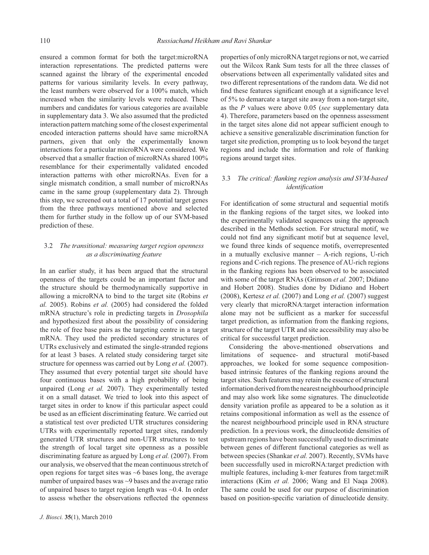ensured a common format for both the target:microRNA interaction representations. The predicted patterns were scanned against the library of the experimental encoded patterns for various similarity levels. In every pathway, the least numbers were observed for a 100% match, which increased when the similarity levels were reduced. These numbers and candidates for various categories are available in supplementary data 3. We also assumed that the predicted interaction pattern matching some of the closest experimental encoded interaction patterns should have same microRNA partners, given that only the experimentally known interactions for a particular microRNA were considered. We observed that a smaller fraction of microRNAs shared 100% resemblance for their experimentally validated encoded interaction patterns with other microRNAs. Even for a single mismatch condition, a small number of microRNAs came in the same group (supplementary data 2). Through this step, we screened out a total of 17 potential target genes from the three pathways mentioned above and selected them for further study in the follow up of our SVM-based prediction of these.

# 3.2 *The transitional: measuring target region openness as a discriminating feature*

In an earlier study, it has been argued that the structural openness of the targets could be an important factor and the structure should be thermodynamically supportive in allowing a microRNA to bind to the target site (Robins *et al.* 2005). Robins *et al.* (2005) had considered the folded mRNA structure's role in predicting targets in *Drosophila* and hypothesized first about the possibility of considering the role of free base pairs as the targeting centre in a target mRNA. They used the predicted secondary structures of UTRs exclusively and estimated the single-stranded regions for at least 3 bases. A related study considering target site structure for openness was carried out by Long *et al.* (2007). They assumed that every potential target site should have four continuous bases with a high probability of being unpaired (Long *et al.* 2007). They experimentally tested it on a small dataset. We tried to look into this aspect of target sites in order to know if this particular aspect could be used as an efficient discriminating feature. We carried out a statistical test over predicted UTR structures considering UTRs with experimentally reported target sites, randomly generated UTR structures and non-UTR structures to test the strength of local target site openness as a possible discriminating feature as argued by Long *et al.* (2007). From our analysis, we observed that the mean continuous stretch of open regions for target sites was  $~6$  bases long, the average number of unpaired bases was ~9 bases and the average ratio of unpaired bases to target region length was ~0.4. In order to assess whether the observations reflected the openness

properties of only microRNA target regions or not, we carried out the Wilcox Rank Sum tests for all the three classes of observations between all experimentally validated sites and two different representations of the random data. We did not find these features significant enough at a significance level of 5% to demarcate a target site away from a non-target site, as the *P* values were above 0.05 (*see* supplementary data 4). Therefore, parameters based on the openness assessment in the target sites alone did not appear sufficient enough to achieve a sensitive generalizable discrimination function for target site prediction, prompting us to look beyond the target regions and include the information and role of flanking regions around target sites.

# 3.3 The critical: flanking region analysis and SVM-based *identifi cation*

For identification of some structural and sequential motifs in the flanking regions of the target sites, we looked into the experimentally validated sequences using the approach described in the Methods section. For structural motif, we could not find any significant motif but at sequence level, we found three kinds of sequence motifs, overrepresented in a mutually exclusive manner – A-rich regions, U-rich regions and C-rich regions. The presence of AU-rich regions in the flanking regions has been observed to be associated with some of the target RNAs (Grimson *et al.* 2007; Didiano and Hobert 2008). Studies done by Didiano and Hobert (2008), Kertesz *et al.* (2007) and Long *et al.* (2007) suggest very clearly that microRNA:target interaction information alone may not be sufficient as a marker for successful target prediction, as information from the flanking regions, structure of the target UTR and site accessibility may also be critical for successful target prediction.

Considering the above-mentioned observations and limitations of sequence- and structural motif-based approaches, we looked for some sequence compositionbased intrinsic features of the flanking regions around the target sites. Such features may retain the essence of structural information derived from the nearest neighbourhood principle and may also work like some signatures. The dinucleotide density variation profile as appeared to be a solution as it retains compositional information as well as the essence of the nearest neighbourhood principle used in RNA structure prediction. In a previous work, the dinucleotide densities of upstream regions have been successfully used to discriminate between genes of different functional categories as well as between species (Shankar *et al.* 2007). Recently, SVMs have been successfully used in microRNA:target prediction with multiple features, including k-mer features from target:miR interactions (Kim *et al.* 2006; Wang and El Naqa 2008). The same could be used for our purpose of discrimination based on position-specific variation of dinucleotide density.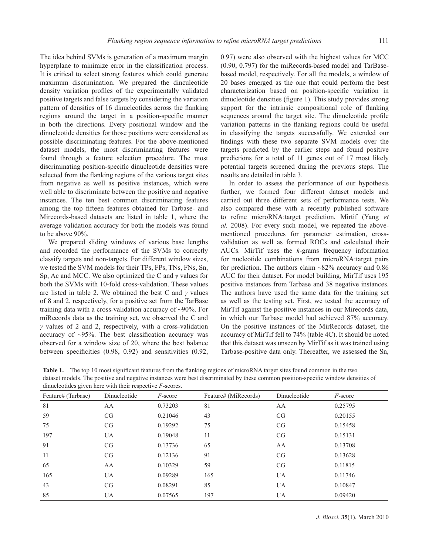The idea behind SVMs is generation of a maximum margin hyperplane to minimize error in the classification process. It is critical to select strong features which could generate maximum discrimination. We prepared the dinculeotide density variation profiles of the experimentally validated positive targets and false targets by considering the variation pattern of densities of 16 dinucleotides across the flanking regions around the target in a position-specific manner in both the directions. Every positional window and the dinucleotide densities for those positions were considered as possible discriminating features. For the above-mentioned dataset models, the most discriminating features were found through a feature selection procedure. The most discriminating position-specific dinucleotide densities were selected from the flanking regions of the various target sites from negative as well as positive instances, which were well able to discriminate between the positive and negative instances. The ten best common discriminating features among the top fifteen features obtained for Tarbase- and Mirecords-based datasets are listed in table 1, where the average validation accuracy for both the models was found to be above 90%.

We prepared sliding windows of various base lengths and recorded the performance of the SVMs to correctly classify targets and non-targets. For different window sizes, we tested the SVM models for their TPs, FPs, TNs, FNs, Sn, Sp, Ac and MCC. We also optimized the C and *γ* values for both the SVMs with 10-fold cross-validation. These values are listed in table 2. We obtained the best C and *γ* values of 8 and 2, respectively, for a positive set from the TarBase training data with a cross-validation accuracy of  $\sim$ 90%. For miRecords data as the training set, we observed the C and *γ* values of 2 and 2, respectively, with a cross-validation accuracy of  $\sim$ 95%. The best classification accuracy was observed for a window size of 20, where the best balance between specificities  $(0.98, 0.92)$  and sensitivities  $(0.92, 0.92)$  0.97) were also observed with the highest values for MCC (0.90, 0.797) for the miRecords-based model and TarBasebased model, respectively. For all the models, a window of 20 bases emerged as the one that could perform the best characterization based on position-specific variation in dinucleotide densities (figure 1). This study provides strong support for the intrinsic compositional role of flanking sequences around the target site. The dinucleotide profile variation patterns in the flanking regions could be useful in classifying the targets successfully. We extended our findings with these two separate SVM models over the targets predicted by the earlier steps and found positive predictions for a total of 11 genes out of 17 most likely potential targets screened during the previous steps. The results are detailed in table 3.

In order to assess the performance of our hypothesis further, we formed four different dataset models and carried out three different sets of performance tests. We also compared these with a recently published software to refine microRNA:target prediction, Mirtif (Yang et *al.* 2008). For every such model, we repeated the abovementioned procedures for parameter estimation, crossvalidation as well as formed ROCs and calculated their AUCs. MirTif uses the *k*-grams frequency information for nucleotide combinations from microRNA:target pairs for prediction. The authors claim ~82% accuracy and 0.86 AUC for their dataset. For model building, MirTif uses 195 positive instances from Tarbase and 38 negative instances. The authors have used the same data for the training set as well as the testing set. First, we tested the accuracy of MirTif against the positive instances in our Mirecords data, in which our Tarbase model had achieved 87% accuracy. On the positive instances of the MirRecords dataset, the accuracy of MirTif fell to 74% (table 4C). It should be noted that this dataset was unseen by MirTif as it was trained using Tarbase-positive data only. Thereafter, we assessed the Sn,

| Table 1. The top 10 most significant features from the flanking regions of microRNA target sites found common in the two          |
|-----------------------------------------------------------------------------------------------------------------------------------|
| dataset models. The positive and negative instances were best discriminated by these common position-specific window densities of |
| dinucleotides given here with their respective $F$ -scores.                                                                       |

| Feature# (Tarbase) | Dinucleotide | $F\text{-score}$ | Feature# (MiRecords) | Dinucleotide | F-score |
|--------------------|--------------|------------------|----------------------|--------------|---------|
| 81                 | AA           | 0.73203          | 81                   | AA           | 0.25795 |
| 59                 | CG           | 0.21046          | 43                   | CG           | 0.20155 |
| 75                 | CG           | 0.19292          | 75                   | CG           | 0.15458 |
| 197                | <b>UA</b>    | 0.19048          | 11                   | CG           | 0.15131 |
| 91                 | CG           | 0.13736          | 65                   | AA           | 0.13708 |
| 11                 | CG           | 0.12136          | 91                   | CG           | 0.13628 |
| 65                 | AA           | 0.10329          | 59                   | CG           | 0.11815 |
| 165                | <b>UA</b>    | 0.09289          | 165                  | <b>UA</b>    | 0.11746 |
| 43                 | CG           | 0.08291          | 85                   | <b>UA</b>    | 0.10847 |
| 85                 | <b>UA</b>    | 0.07565          | 197                  | UA           | 0.09420 |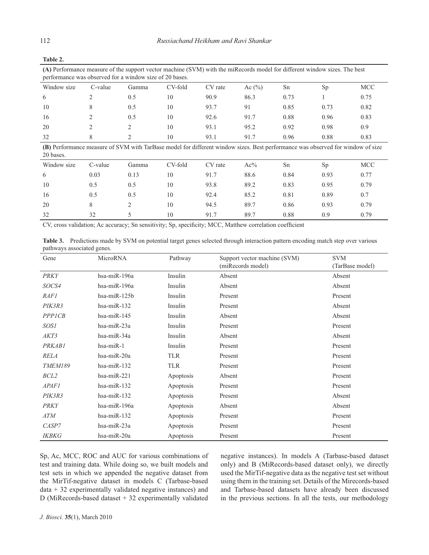| (A) Performance measure of the support vector machine (SVM) with the miRecords model for different window sizes. The best<br>performance was observed for a window size of 20 bases. |         |       |         |         |            |      |      |            |
|--------------------------------------------------------------------------------------------------------------------------------------------------------------------------------------|---------|-------|---------|---------|------------|------|------|------------|
| Window size                                                                                                                                                                          | C-value | Gamma | CV-fold | CV rate | Ac $(\% )$ | Sn   | Sp.  | <b>MCC</b> |
| 6                                                                                                                                                                                    |         | 0.5   | 10      | 90.9    | 86.3       | 0.73 |      | 0.75       |
| 10                                                                                                                                                                                   |         | 0.5   | 10      | 93.7    | 91         | 0.85 | 0.73 | 0.82       |
| 16                                                                                                                                                                                   |         | 0.5   | 10      | 92.6    | 91.7       | 0.88 | 0.96 | 0.83       |
| 20                                                                                                                                                                                   |         |       | 10      | 93.1    | 95.2       | 0.92 | 0.98 | 0.9        |
| 32                                                                                                                                                                                   |         |       | 10      | 93.1    | 91.7       | 0.96 | 0.88 | 0.83       |

**(B)** Performance measure of SVM with TarBase model for different window sizes. Best performance was observed for window of size 20 bases.

| Window size | C-value | Gamma | CV-fold | CV rate | $Ac\%$ | Sn   | Sp   | <b>MCC</b> |
|-------------|---------|-------|---------|---------|--------|------|------|------------|
| 6           | 0.03    | 0.13  | 10      | 91.7    | 88.6   | 0.84 | 0.93 | 0.77       |
| 10          | 0.5     | 0.5   | 10      | 93.8    | 89.2   | 0.83 | 0.95 | 0.79       |
| 16          | 0.5     | 0.5   | 10      | 92.4    | 85.2   | 0.81 | 0.89 | 0.7        |
| 20          | 8       |       | 10      | 94.5    | 89.7   | 0.86 | 0.93 | 0.79       |
| 32          | 32      |       | 10      | 91.7    | 89.7   | 0.88 | 0.9  | 0.79       |

CV, cross validation; Ac accuracy; Sn sensitivity; Sp, specificity; MCC, Matthew correlation coefficient

**Table 3.** Predictions made by SVM on potential target genes selected through interaction pattern encoding match step over various pathways associated genes.

| Gene             | MicroRNA          | Pathway    | Support vector machine (SVM) | <b>SVM</b>      |
|------------------|-------------------|------------|------------------------------|-----------------|
|                  |                   |            | (miRecords model)            | (TarBase model) |
| <b>PRKY</b>      | hsa-miR-196a      | Insulin    | Absent                       | Absent          |
| SOCS4            | hsa-miR-196a      | Insulin    | Absent                       | Absent          |
| <i>RAF1</i>      | hsa-miR-125b      | Insulin    | Present                      | Present         |
| PIK3R3           | $hsa-miR-132$     | Insulin    | Present                      | Absent          |
| PPPICB           | $hsa$ -mi $R-145$ | Insulin    | Absent                       | Absent          |
| SOS1             | hsa-miR-23a       | Insulin    | Present                      | Present         |
| AKT3             | hsa-miR-34a       | Insulin    | Absent                       | Absent          |
| PRKAB1           | $hsa$ -mi $R-1$   | Insulin    | Present                      | Present         |
| <b>RELA</b>      | hsa-miR-20a       | TLR        | Present                      | Present         |
| <b>TMEM189</b>   | $hsa-miR-132$     | <b>TLR</b> | Present                      | Present         |
| BCL <sub>2</sub> | $hsa-miR-221$     | Apoptosis  | Absent                       | Present         |
| APAF1            | $hsa-miR-132$     | Apoptosis  | Present                      | Present         |
| PIK3R3           | $hsa-miR-132$     | Apoptosis  | Present                      | Absent          |
| <b>PRKY</b>      | hsa-miR-196a      | Apoptosis  | Absent                       | Absent          |
| ATM              | $hsa-miR-132$     | Apoptosis  | Present                      | Present         |
| CASP7            | $hsa-miR-23a$     | Apoptosis  | Present                      | Present         |
| <i>IKBKG</i>     | hsa-miR-20a       | Apoptosis  | Present                      | Present         |

Sp, Ac, MCC, ROC and AUC for various combinations of test and training data. While doing so, we built models and test sets in which we appended the negative dataset from the MirTif-negative dataset in models C (Tarbase-based  $data + 32$  experimentally validated negative instances) and D (MiRecords-based dataset + 32 experimentally validated

negative instances). In models A (Tarbase-based dataset only) and B (MiRecords-based dataset only), we directly used the MirTif-negative data as the negative test set without using them in the training set. Details of the Mirecords-based and Tarbase-based datasets have already been discussed in the previous sections. In all the tests, our methodology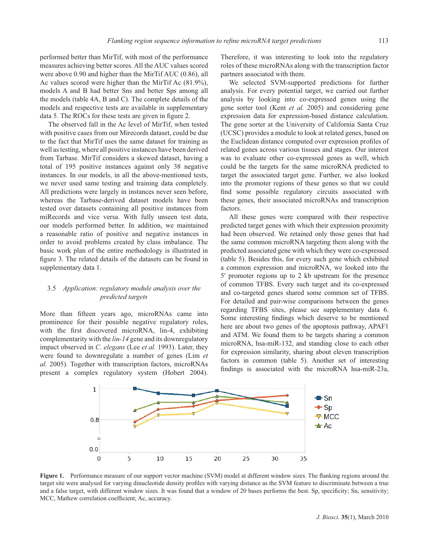performed better than MirTif, with most of the performance measures achieving better scores. All the AUC values scored were above 0.90 and higher than the MirTif AUC (0.86), all Ac values scored were higher than the MirTif Ac (81.9%), models A and B had better Sns and better Sps among all the models (table 4A, B and C). The complete details of the models and respective tests are available in supplementary data 5. The ROCs for these tests are given in figure 2.

The observed fall in the Ac level of MirTif, when tested with positive cases from our Mirecords dataset, could be due to the fact that MirTif uses the same dataset for training as well as testing, where all positive instances have been derived from Tarbase. MirTif considers a skewed dataset, having a total of 195 positive instances against only 38 negative instances. In our models, in all the above-mentioned tests, we never used same testing and training data completely. All predictions were largely in instances never seen before, whereas the Tarbase-derived dataset models have been tested over datasets containing all positive instances from miRecords and vice versa. With fully unseen test data, our models performed better. In addition, we maintained a reasonable ratio of positive and negative instances in order to avoid problems created by class imbalance. The basic work plan of the entire methodology is illustrated in figure 3. The related details of the datasets can be found in supplementary data 1.

# 3.5 *Application: regulatory module analysis over the predicted targets*

More than fifteen years ago, microRNAs came into prominence for their possible negative regulatory roles, with the first discovered microRNA, lin-4, exhibiting complementarity with the *lin-14* gene and its downregulatory impact observed in *C. elegans* (Lee *et al.* 1993). Later, they were found to downregulate a number of genes (Lim *et al.* 2005). Together with transcription factors, microRNAs present a complex regulatory system (Hobert 2004). Therefore, it was interesting to look into the regulatory roles of these microRNAs along with the transcription factor partners associated with them.

We selected SVM-supported predictions for further analysis. For every potential target, we carried out further analysis by looking into co-expressed genes using the gene sorter tool (Kent *et al.* 2005) and considering gene expression data for expression-based distance calculation. The gene sorter at the University of California Santa Cruz (UCSC) provides a module to look at related genes, based on the Euclidean distance computed over expression profiles of related genes across various tissues and stages. Our interest was to evaluate other co-expressed genes as well, which could be the targets for the same microRNA predicted to target the associated target gene. Further, we also looked into the promoter regions of these genes so that we could find some possible regulatory circuits associated with these genes, their associated microRNAs and transcription factors.

All these genes were compared with their respective predicted target genes with which their expression proximity had been observed. We retained only those genes that had the same common microRNA targeting them along with the predicted associated gene with which they were co-expressed (table 5). Besides this, for every such gene which exhibited a common expression and microRNA, we looked into the 5′ promoter regions up to 2 kb upstream for the presence of common TFBS. Every such target and its co-expressed and co-targeted genes shared some common set of TFBS. For detailed and pair-wise comparisons between the genes regarding TFBS sites, please see supplementary data 6. Some interesting findings which deserve to be mentioned here are about two genes of the apoptosis pathway, APAF1 and ATM. We found them to be targets sharing a common microRNA, hsa-miR-132, and standing close to each other for expression similarity, sharing about eleven transcription factors in common (table 5). Another set of interesting findings is associated with the microRNA hsa-miR-23a,



Figure 1. Performance measure of our support vector machine (SVM) model at different window sizes. The flanking regions around the target site were analysed for varying dinucleotide density profiles with varying distance as the SVM feature to discriminate between a true and a false target, with different window sizes. It was found that a window of 20 bases performs the best. Sp, specificity; Sn, sensitivity; MCC, Mathew correlation coefficient; Ac, accuracy.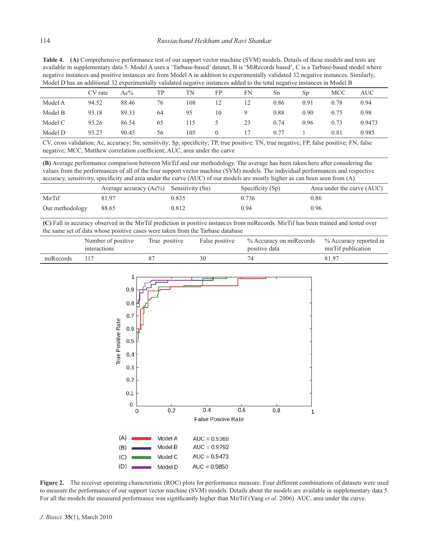**Table 4. (A)** Comprehensive performance test of our support vector machine (SVM) models. Details of these models and tests are available in supplementary data 5. Model A uses a 'Tarbase-based' dataset, B is 'MiRecords based', C is a Tarbase-based model where negative instances and positive instances are from Model A in addition to experimentally validated 32 negative instances. Similarly, Model D has an additional 32 experimentally validated negative instances added to the total negative instances in Model B

|         | CV rate | Ac%   | TP | TN  | FP               | FN | Sn   | S <sub>p</sub> | <b>MCC</b> | <b>AUC</b> |
|---------|---------|-------|----|-----|------------------|----|------|----------------|------------|------------|
| Model A | 94.52   | 88.46 | 76 | 108 | 12               | 12 | 0.86 | 0.91           | 0.78       | 0.94       |
| Model B | 93.18   | 89.33 | 64 | 95  | 10               | 9  | 0.88 | 0.90           | 0.75       | 0.98       |
| Model C | 93.26   | 86.54 | 65 | 115 | 5.               | 23 | 0.74 | 0.96           | 0.73       | 0.9473     |
| Model D | 93.27   | 90.45 | 56 | 105 | $\left( \right)$ | 17 | 0.77 |                | 0.81       | 0.985      |

CV, cross validation; Ac, accuracy; Sn, sensitivity; Sp, specificity; TP, true positive; TN, true negative; FP, false positive; FN, false negative; MCC, Matthew correlation coefficient; AUC, area under the curve

**(B)** Average performance comparison between MirTif and our methodology. The average has been taken here after considering the values from the performances of all of the four support vector machine (SVM) models. The individual performances and respective accuracy, sensitivity, specificity and area under the curve (AUC) of our models are mostly higher as can been seen from (A)

|                 | Average accuracy $(Ac\%)$ Sensitivity $(Sn)$ |       | Specificity $(Sp)$ | Area under the curve (AUC) |
|-----------------|----------------------------------------------|-------|--------------------|----------------------------|
| MirTif          | 81.97                                        | 0.835 | 0.736              | 0.86                       |
| Our methodology | 88.65                                        | 0.812 | 0.94               | 0.96                       |

**(C)** Fall in accuracy observed in the MirTif prediction in positive instances from miRecords. MirTif has been trained and tested over the same set of data whose positive cases were taken from the Tarbase database

|           | Number of positive<br>interactions | True positive | False positive | % Accuracy on miRecords % Accuracy reported in<br>positive data | mirTif publication |
|-----------|------------------------------------|---------------|----------------|-----------------------------------------------------------------|--------------------|
| miRecords |                                    |               |                |                                                                 | 81.97              |



**Figure 2.** The receiver operating characteristic (ROC) plots for performance measure. Four different combinations of datasets were used to measure the performance of our support vector machine (SVM) models. Details about the models are available in supplementary data 5. For all the models the measured performance was significantly higher than MirTif (Yang *et al.* 2006). AUC, area under the curve.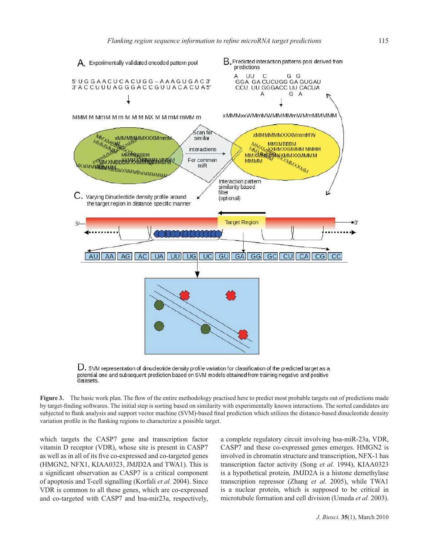

 $D.$  SVM representation of dinucleotide density profile variation for classification of the predicted target as a potential one and subsequent prediction based on SVM models obtained from training negative and positive<br>datasets.

**Figure 3.** The basic work plan. The flow of the entire methodology practised here to predict most probable targets out of predictions made by target-fi nding softwares. The initial step is sorting based on similarity with experimentally known interactions. The sorted candidates are subjected to flank analysis and support vector machine (SVM)-based final prediction which utilizes the distance-based dinucleotide density variation profile in the flanking regions to characterize a possible target.

which targets the CASP7 gene and transcription factor vitamin D receptor (VDR), whose site is present in CASP7 as well as in all of its five co-expressed and co-targeted genes (HMGN2, NFX1, KIAA0323, JMJD2A and TWA1). This is a significant observation as CASP7 is a critical component of apoptosis and T-cell signalling (Korfali *et al.* 2004). Since VDR is common to all these genes, which are co-expressed and co-targeted with CASP7 and hsa-mir23a, respectively, a complete regulatory circuit involving hsa-miR-23a, VDR, CASP7 and these co-expressed genes emerges. HMGN2 is involved in chromatin structure and transcription, NFX-1 has transcription factor activity (Song *et al.* 1994), KIAA0323 is a hypothetical protein, JMJD2A is a histone demethylase transcription repressor (Zhang *et al.* 2005), while TWA1 is a nuclear protein, which is supposed to be critical in microtubule formation and cell division (Umeda *et al.* 2003).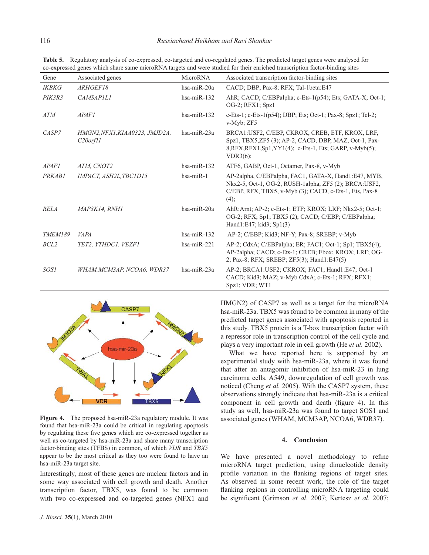| Gene           | Associated genes                             | MicroRNA      | Associated transcription factor-binding sites                                                                                                                                     |
|----------------|----------------------------------------------|---------------|-----------------------------------------------------------------------------------------------------------------------------------------------------------------------------------|
| <b>IKBKG</b>   | ARHGEF18                                     | hsa-miR-20a   | CACD; DBP; Pax-8; RFX; Tal-1beta:E47                                                                                                                                              |
| PIK3R3         | <b>CAMSAPILI</b>                             | $hsa-miR-132$ | AhR; CACD; C/EBPalpha; c-Ets-1(p54); Ets; GATA-X; Oct-1;<br>OG-2; RFX1; Spz1                                                                                                      |
| ATM            | APAFI                                        | $hsa-miR-132$ | c-Ets-1; c-Ets-1(p54); DBP; Ets; Oct-1; Pax-8; Spz1; Tel-2;<br>v-Myb; ZF5                                                                                                         |
| CASP7          | HMGN2, NFX1, KIAA0323, JMJD2A,<br>C20 or f11 | $hsa-miR-23a$ | BRCA1: USF2, C/EBP, CKROX, CREB, ETF, KROX, LRF,<br>Spz1, TBX5,ZF5 (3); AP-2, CACD, DBP, MAZ, Oct-1, Pax-<br>8, RFX, RFX1, Sp1, YY1(4); c-Ets-1, Ets; GARP, v-Myb(5);<br>VDR3(6); |
| APAFI          | ATM. CNOT2                                   | $hsa-miR-132$ | ATF6, GABP, Oct-1, Octamer, Pax-8, v-Myb                                                                                                                                          |
| PRKAB1         | IMPACT, ASH2L, TBC1D15                       | $hsa-miR-1$   | AP-2alpha, C/EBPalpha, FAC1, GATA-X, Hand1:E47, MYB,<br>Nkx2-5, Oct-1, OG-2, RUSH-1alpha, ZF5 (2); BRCA:USF2,<br>C/EBP, RFX, TBX5, v-Myb (3); CACD, c-Ets-1, Ets, Pax-8<br>(4);   |
| <b>RELA</b>    | MAP3K14, RNH1                                | hsa-miR-20a   | AhR:Arnt; AP-2; c-Ets-1; ETF; KROX; LRF; Nkx2-5; Oct-1;<br>OG-2; RFX; Sp1; TBX5 (2); CACD; C/EBP; C/EBPalpha;<br>Hand1:E47; kid3; Sp1(3)                                          |
| <b>TMEM189</b> | <b>VAPA</b>                                  | $hsa-miR-132$ | AP-2; C/EBP; Kid3; NF-Y; Pax-8; SREBP; v-Myb                                                                                                                                      |
| BCL2           | TET2, YTHDC1, VEZF1                          | $hsa-miR-221$ | AP-2; CdxA; C/EBPalpha; ER; FAC1; Oct-1; Sp1; TBX5(4);<br>AP-2alpha; CACD; c-Ets-1; CREB; Ebox; KROX; LRF; OG-<br>2; Pax-8; RFX; SREBP; ZF5(3); Hand1:E47(5)                      |
| SOS1           | WHAM, MCM3AP, NCOA6, WDR37                   | $hsa-miR-23a$ | AP-2; BRCA1:USF2; CKROX; FAC1; Hand1:E47; Oct-1<br>CACD; Kid3; MAZ; v-Myb CdxA; c-Ets-1; RFX; RFX1;<br>Spz1; VDR; WT1                                                             |

**Table 5.** Regulatory analysis of co-expressed, co-targeted and co-regulated genes. The predicted target genes were analysed for co-expressed genes which share same microRNA targets and were studied for their enriched transcription factor-binding sites



**Figure 4.** The proposed hsa-miR-23a regulatory module. It was found that hsa-miR-23a could be critical in regulating apoptosis by regulating these five genes which are co-expressed together as well as co-targeted by hsa-miR-23a and share many transcription factor-binding sites (TFBS) in common, of which *VDR* and *TBX5* appear to be the most critical as they too were found to have an hsa-miR-23a target site.

Interestingly, most of these genes are nuclear factors and in some way associated with cell growth and death. Another transcription factor, TBX5, was found to be common with two co-expressed and co-targeted genes (NFX1 and

HMGN2) of CASP7 as well as a target for the microRNA hsa-miR-23a. TBX5 was found to be common in many of the predicted target genes associated with apoptosis reported in this study. TBX5 protein is a T-box transcription factor with a repressor role in transcription control of the cell cycle and plays a very important role in cell growth (He *et al.* 2002).

What we have reported here is supported by an experimental study with hsa-miR-23a, where it was found that after an antagomir inhibition of hsa-miR-23 in lung carcinoma cells, A549, downregulation of cell growth was noticed (Cheng *et al.* 2005). With the CASP7 system, these observations strongly indicate that hsa-miR-23a is a critical component in cell growth and death (figure 4). In this study as well, hsa-miR-23a was found to target SOS1 and associated genes (WHAM, MCM3AP, NCOA6, WDR37).

# **4. Conclusion**

We have presented a novel methodology to refine microRNA target prediction, using dinucleotide density profile variation in the flanking regions of target sites. As observed in some recent work, the role of the target flanking regions in controlling microRNA targeting could be significant (Grimson *et al.* 2007; Kertesz *et al.* 2007;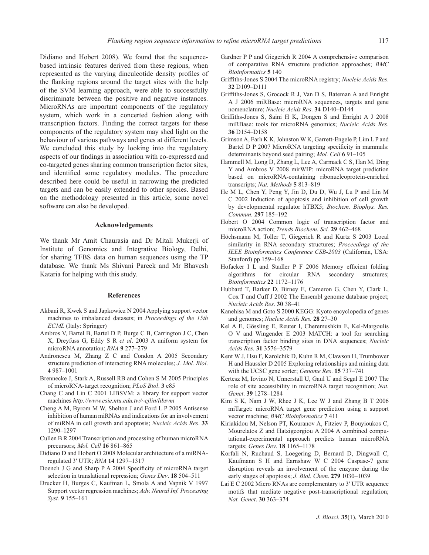Didiano and Hobert 2008). We found that the sequencebased intrinsic features derived from these regions, when represented as the varying dinculeotide density profiles of the flanking regions around the target sites with the help of the SVM learning approach, were able to successfully discriminate between the positive and negative instances. MicroRNAs are important components of the regulatory system, which work in a concerted fashion along with transcription factors. Finding the correct targets for these components of the regulatory system may shed light on the behaviour of various pathways and genes at different levels. We concluded this study by looking into the regulatory aspects of our findings in association with co-expressed and co-targeted genes sharing common transcription factor sites, and identified some regulatory modules. The procedure described here could be useful in narrowing the predicted targets and can be easily extended to other species. Based on the methodology presented in this article, some novel software can also be developed.

#### **Acknowledgements**

We thank Mr Amit Chaurasia and Dr Mitali Mukerji of Institute of Genomics and Integrative Biology, Delhi, for sharing TFBS data on human sequences using the TP database. We thank Ms Shivani Pareek and Mr Bhavesh Kataria for helping with this study.

#### **References**

- Akbani R, Kwek S and Japkowicz N 2004 Applying support vector machines to imbalanced datasets; in *Proceedings of the 15th ECML* (Italy: Springer)
- Ambros V, Bartel B, Bartel D P, Burge C B, Carrington J C, Chen X, Dreyfuss G, Eddy S R *et al*. 2003 A uniform system for microRNA annotation; *RNA* **9** 277–279
- Andronescu M, Zhang Z C and Condon A 2005 Secondary structure prediction of interacting RNA molecules; *J. Mol. Biol*. **4** 987–1001
- Brennecke J, Stark A, Russell RB and Cohen S M 2005 Principles of microRNA-target recognition; *PLoS Biol*. **3** e85
- Chang C and Lin C 2001 LIBSVM: a library for support vector machines *http://www.csie.ntu.edu.tw/~cjlin/libsvm*
- Cheng A M, Byrom M W, Shelton J and Ford L P 2005 Antisense inhibition of human miRNAs and indications for an involvement of miRNA in cell growth and apoptosis; *Nucleic Acids Res*. **33** 1290–1297
- Cullen B R 2004 Transcription and processing of human microRNA precursors; *Mol. Cell* **16** 861–865
- Didiano D and Hobert O 2008 Molecular architecture of a miRNAregulated 3′ UTR; *RNA* **14** 1297–1317
- Doench J G and Sharp P A 2004 Specificity of microRNA target selection in translational repression; *Genes Dev*. **18** 504–511
- Drucker H, Burges C, Kaufman L, Smola A and Vapnik V 1997 Support vector regression machines; *Adv. Neural Inf. Processing Syst.* **9** 155–161
- Gardner P P and Giegerich R 2004 A comprehensive comparison of comparative RNA structure prediction approaches; *BMC Bioinformatics* **5** 140
- Griffiths-Jones S 2004 The microRNA registry; *Nucleic Acids Res.* **32** D109–D111
- Griffiths-Jones S, Grocock R J, Van D S, Bateman A and Enright A J 2006 miRBase: microRNA sequences, targets and gene nomenclature; *Nucleic Acids Res*. **34** D140–D144
- Griffiths-Jones S, Saini H K, Dongen S and Enright A J 2008 miRBase: tools for microRNA genomics; *Nucleic Acids Res*. **36** D154–D158
- Grimson A, Farh K K, Johnston W K, Garrett-Engele P, Lim L P and Bartel D P 2007 MicroRNA targeting specificity in mammals: determinants beyond seed pairing; *Mol. Cell* **6** 91–105
- Hammell M, Long D, Zhang L, Lee A, Carmack C S, Han M, Ding Y and Ambros V 2008 mirWIP: microRNA target prediction based on microRNA-containing ribonucleoprotein-enriched transcripts; *Nat. Methods* **5** 813–819
- He M L, Chen Y, Peng Y, Jin D, Du D, Wu J, Lu P and Lin M C 2002 Induction of apoptosis and inhibition of cell growth by developmental regulator hTBX5; *Biochem. Biophys. Res. Commun*. **297** 185–192
- Hobert O 2004 Common logic of transcription factor and microRNA action; *Trends Biochem*. *Sci.* **29** 462–468
- Höchsmann M, Toller T, Giegerich R and Kurtz S 2003 Local similarity in RNA secondary structures; *Proceedings of the IEEE Bioinformatics Conference CSB-2003* (California, USA: Stanford) pp 159–168
- Hofacker I L and Stadler P F 2006 Memory efficient folding algorithms for circular RNA secondary structures; *Bioinformatics* **22** 1172–1176
- Hubbard T, Barker D, Birney E, Cameron G, Chen Y, Clark L, Cox T and Cuff J 2002 The Ensembl genome database project; *Nucleic Acids Res*. **30** 38–41
- Kanehisa M and Goto S 2000 KEGG: Kyoto encyclopedia of genes and genomes; *Nucleic Acids Res.* **28** 27–30
- Kel A E, Gössling E, Reuter I, Cheremushkin E, Kel-Margoulis O V and Wingender E 2003 MATCH: a tool for searching transcription factor binding sites in DNA sequences; *Nucleic Acids Res.* **31** 3576–3579
- Kent W J, Hsu F, Karolchik D, Kuhn R M, Clawson H, Trumbower H and Haussler D 2005 Exploring relationships and mining data with the UCSC gene sorter; *Genome Res*. **15** 737–741
- Kertesz M, Iovino N, Unnerstall U, Gaul U and Segal E 2007 The role of site accessibility in microRNA target recognition; *Nat. Genet*. **39** 1278–1284
- Kim S K, Nam J W, Rhee J K, Lee W J and Zhang B T 2006 miTarget: microRNA target gene prediction using a support vector machine; *BMC Bioinformatics* **7** 411
- Kiriakidou M, Nelson PT, Kouranov A, Fitziev P, Bouyioukos C, Mourelatos Z and Hatzigeorgiou A 2004 A combined computational-experimental approach predicts human microRNA targets; *Genes Dev*. **18** 1165–1178
- Korfali N, Ruchaud S, Loegering D, Bernard D, Dingwall C, Kaufmann S H and Earnshaw W C 2004 Caspase-7 gene disruption reveals an involvement of the enzyme during the early stages of apoptosis; *J. Biol. Chem*. **279** 1030–1039
- Lai E C 2002 Micro RNAs are complementary to 3′ UTR sequence motifs that mediate negative post-transcriptional regulation; *Nat. Genet*. **30** 363–374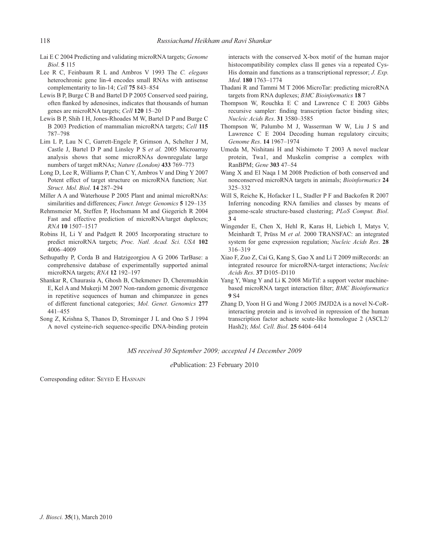- Lai E C 2004 Predicting and validating microRNA targets; *Genome Biol*. **5** 115
- Lee R C, Feinbaum R L and Ambros V 1993 The *C. elegans* heterochronic gene lin-4 encodes small RNAs with antisense complementarity to lin-14; *Cell* **75** 843–854
- Lewis B P, Burge C B and Bartel D P 2005 Conserved seed pairing, often flanked by adenosines, indicates that thousands of human genes are microRNA targets; *Cell* **120** 15–20
- Lewis B P, Shih I H, Jones-Rhoades M W, Bartel D P and Burge C B 2003 Prediction of mammalian microRNA targets; *Cell* **115** 787–798
- Lim L P, Lau N C, Garrett-Engele P, Grimson A, Schelter J M, Castle J, Bartel D P and Linsley P S *et al.* 2005 Microarray analysis shows that some microRNAs downregulate large numbers of target mRNAs; *Nature (London)* **433** 769–773
- Long D, Lee R, Williams P, Chan C Y, Ambros V and Ding Y 2007 Potent effect of target structure on microRNA function; *Nat. Struct. Mol. Biol*. **14** 287–294
- Miller A A and Waterhouse P 2005 Plant and animal microRNAs: similarities and differences; *Funct. Integr. Genomics* **5** 129–135
- Rehmsmeier M, Steffen P, Hochsmann M and Giegerich R 2004 Fast and effective prediction of microRNA/target duplexes; *RNA* **10** 1507–1517
- Robins H, Li Y and Padgett R 2005 Incorporating structure to predict microRNA targets; *Proc. Natl. Acad. Sci. USA* **102** 4006–4009
- Sethupathy P, Corda B and Hatzigeorgiou A G 2006 TarBase: a comprehensive database of experimentally supported animal microRNA targets; *RNA* **12** 192–197
- Shankar R, Chaurasia A, Ghosh B, Chekmenev D, Cheremushkin E, Kel A and Mukerji M 2007 Non-random genomic divergence in repetitive sequences of human and chimpanzee in genes of different functional categories; *Mol. Genet. Genomics* **277** 441–455
- Song Z, Krishna S, Thanos D, Strominger J L and Ono S J 1994 A novel cysteine-rich sequence-specific DNA-binding protein

interacts with the conserved X-box motif of the human major histocompatibility complex class II genes via a repeated Cys-His domain and functions as a transcriptional repressor; *J. Exp. Med*. **180** 1763–1774

- Thadani R and Tammi M T 2006 MicroTar: predicting microRNA targets from RNA duplexes; *BMC Bioinformatics* **18** 7
- Thompson W, Rouchka E C and Lawrence C E 2003 Gibbs recursive sampler: finding transcription factor binding sites; *Nucleic Acids Res*. **31** 3580–3585
- Thompson W, Palumbo M J, Wasserman W W, Liu J S and Lawrence C E 2004 Decoding human regulatory circuits; *Genome Res*. **14** 1967–1974
- Umeda M, Nishitani H and Nishimoto T 2003 A novel nuclear protein, Twa1, and Muskelin comprise a complex with RanBPM; *Gene* **303** 47–54
- Wang X and El Naqa I M 2008 Prediction of both conserved and nonconserved microRNA targets in animals; *Bioinformatics* **24** 325–332
- Will S, Reiche K, Hofacker I L, Stadler P F and Backofen R 2007 Inferring noncoding RNA families and classes by means of genome-scale structure-based clustering; *PLoS Comput. Biol*. **3** 4
- Wingender E, Chen X, Hehl R, Karas H, Liebich I, Matys V, Meinhardt T, Prüss M *et al.* 2000 TRANSFAC: an integrated system for gene expression regulation; *Nucleic Acids Res*. **28** 316–319
- Xiao F, Zuo Z, Cai G, Kang S, Gao X and Li T 2009 miRecords: an integrated resource for microRNA-target interactions; *Nucleic Acids Res*. **37** D105–D110
- Yang Y, Wang Y and Li K 2008 MirTif: a support vector machinebased microRNA target interaction filter; *BMC Bioinformatics* **9** S4
- Zhang D, Yoon H G and Wong J 2005 JMJD2A is a novel N-CoRinteracting protein and is involved in repression of the human transcription factor achaete scute-like homologue 2 (ASCL2/ Hash2); *Mol. Cell. Biol*. **25** 6404–6414

*MS received 30 September 2009; accepted 14 December 2009*

*e*Publication: 23 February 2010

Corresponding editor: SEYED E HASNAIN